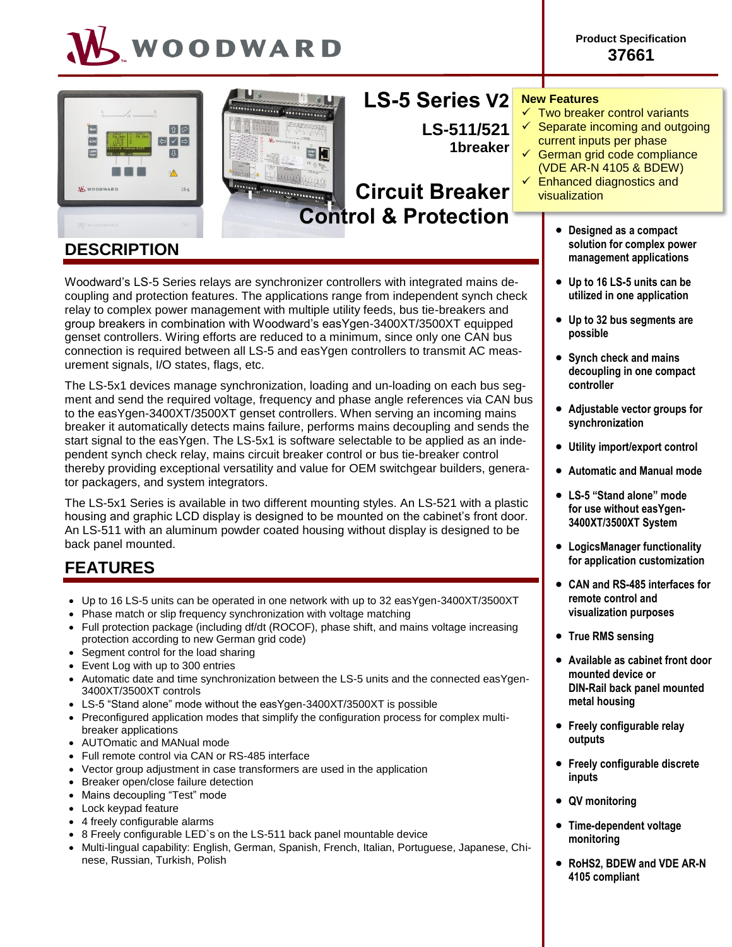# WOODWARD





## **LS-5 Series V2**

**LS-511/521 1breaker**

## **Circuit Breaker Control & Protection**

## **DESCRIPTION**

Woodward's LS-5 Series relays are synchronizer controllers with integrated mains decoupling and protection features. The applications range from independent synch check relay to complex power management with multiple utility feeds, bus tie-breakers and group breakers in combination with Woodward's easYgen-3400XT/3500XT equipped genset controllers. Wiring efforts are reduced to a minimum, since only one CAN bus connection is required between all LS-5 and easYgen controllers to transmit AC measurement signals, I/O states, flags, etc.

The LS-5x1 devices manage synchronization, loading and un-loading on each bus segment and send the required voltage, frequency and phase angle references via CAN bus to the easYgen-3400XT/3500XT genset controllers. When serving an incoming mains breaker it automatically detects mains failure, performs mains decoupling and sends the start signal to the easYgen. The LS-5x1 is software selectable to be applied as an independent synch check relay, mains circuit breaker control or bus tie-breaker control thereby providing exceptional versatility and value for OEM switchgear builders, generator packagers, and system integrators.

The LS-5x1 Series is available in two different mounting styles. An LS-521 with a plastic housing and graphic LCD display is designed to be mounted on the cabinet's front door. An LS-511 with an aluminum powder coated housing without display is designed to be back panel mounted.

## **FEATURES**

- Up to 16 LS-5 units can be operated in one network with up to 32 easYgen-3400XT/3500XT
- Phase match or slip frequency synchronization with voltage matching
- Full protection package (including df/dt (ROCOF), phase shift, and mains voltage increasing protection according to new German grid code)
- Segment control for the load sharing
- Event Log with up to 300 entries
- Automatic date and time synchronization between the LS-5 units and the connected easYgen-3400XT/3500XT controls
- LS-5 "Stand alone" mode without the easYgen-3400XT/3500XT is possible
- Preconfigured application modes that simplify the configuration process for complex multibreaker applications
- AUTOmatic and MANual mode
- Full remote control via CAN or RS-485 interface
- Vector group adjustment in case transformers are used in the application
- Breaker open/close failure detection
- Mains decoupling "Test" mode
- Lock keypad feature
- 4 freely configurable alarms
- 8 Freely configurable LED`s on the LS-511 back panel mountable device
- Multi-lingual capability: English, German, Spanish, French, Italian, Portuguese, Japanese, Chinese, Russian, Turkish, Polish

#### **New Features**

- $\checkmark$  Two breaker control variants
- Separate incoming and outgoing current inputs per phase
- German grid code compliance (VDE AR-N 4105 & BDEW)
- Enhanced diagnostics and visualization
	- **Designed as a compact solution for complex power management applications**
	- **Up to 16 LS-5 units can be utilized in one application**
	- **Up to 32 bus segments are possible**
	- **Synch check and mains decoupling in one compact controller**
	- **Adjustable vector groups for synchronization**
	- **Utility import/export control**
	- **Automatic and Manual mode**
	- **LS-5 "Stand alone" mode for use without easYgen-3400XT/3500XT System**
	- **LogicsManager functionality for application customization**
	- **CAN and RS-485 interfaces for remote control and visualization purposes**
	- **True RMS sensing**
	- **Available as cabinet front door mounted device or DIN-Rail back panel mounted metal housing**
	- **Freely configurable relay outputs**
	- **Freely configurable discrete inputs**
	- **QV monitoring**
	- **Time-dependent voltage monitoring**
	- **RoHS2, BDEW and VDE AR-N 4105 compliant**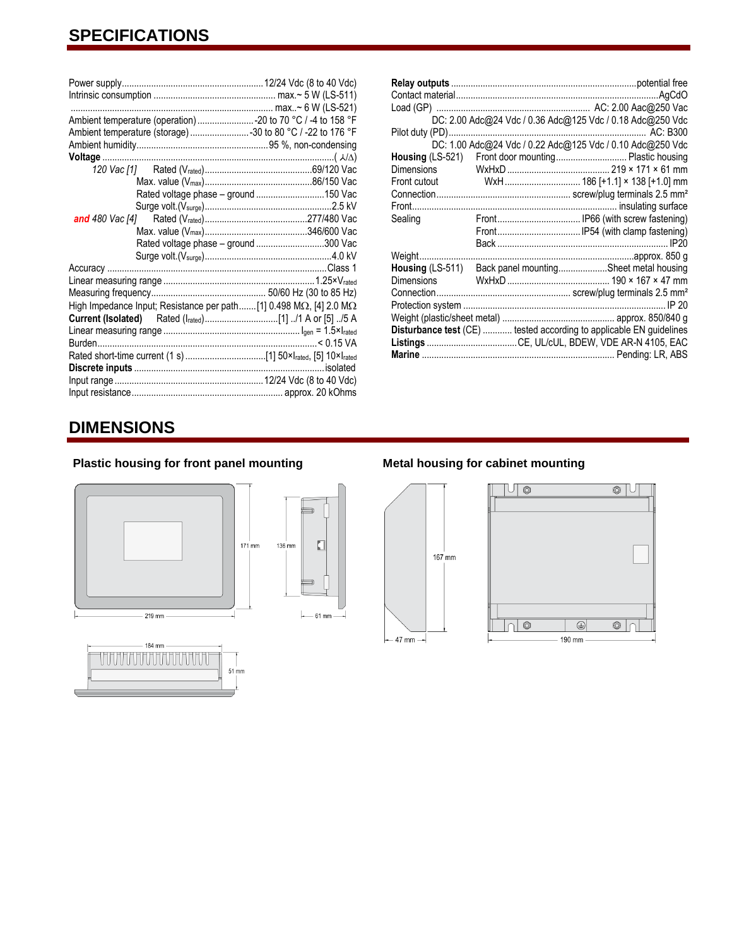## **SPECIFICATIONS**

| Ambient temperature (operation) 20 to 70 °C / -4 to 158 °F                         |  |
|------------------------------------------------------------------------------------|--|
| Ambient temperature (storage) 30 to 80 °C / -22 to 176 °F                          |  |
|                                                                                    |  |
|                                                                                    |  |
|                                                                                    |  |
|                                                                                    |  |
| Rated voltage phase - ground 150 Vac                                               |  |
|                                                                                    |  |
| <b>and</b> 480 Vac [4]                                                             |  |
|                                                                                    |  |
| Rated voltage phase - ground 300 Vac                                               |  |
|                                                                                    |  |
|                                                                                    |  |
|                                                                                    |  |
|                                                                                    |  |
| High Impedance Input; Resistance per path[1] 0.498 M $\Omega$ , [4] 2.0 M $\Omega$ |  |
|                                                                                    |  |
|                                                                                    |  |
|                                                                                    |  |
|                                                                                    |  |
|                                                                                    |  |
|                                                                                    |  |
|                                                                                    |  |
|                                                                                    |  |

|                         | DC: 2.00 Adc@24 Vdc / 0.36 Adc@125 Vdc / 0.18 Adc@250 Vdc           |
|-------------------------|---------------------------------------------------------------------|
|                         |                                                                     |
|                         | DC: 1.00 Adc@24 Vdc / 0.22 Adc@125 Vdc / 0.10 Adc@250 Vdc           |
| <b>Housing (LS-521)</b> | Front door mounting Plastic housing                                 |
| Dimensions              |                                                                     |
| Front cutout            |                                                                     |
|                         |                                                                     |
|                         |                                                                     |
| Sealing                 |                                                                     |
|                         |                                                                     |
|                         |                                                                     |
| Weight.                 |                                                                     |
| Housing (LS-511)        | Back panel mountingSheet metal housing                              |
| Dimensions              |                                                                     |
|                         |                                                                     |
|                         |                                                                     |
|                         |                                                                     |
|                         | Disturbance test (CE)  tested according to applicable EN guidelines |
|                         |                                                                     |
|                         |                                                                     |
|                         |                                                                     |

## **DIMENSIONS**



 $51 \text{ mm}$ 

**THATHATHATHAT** 



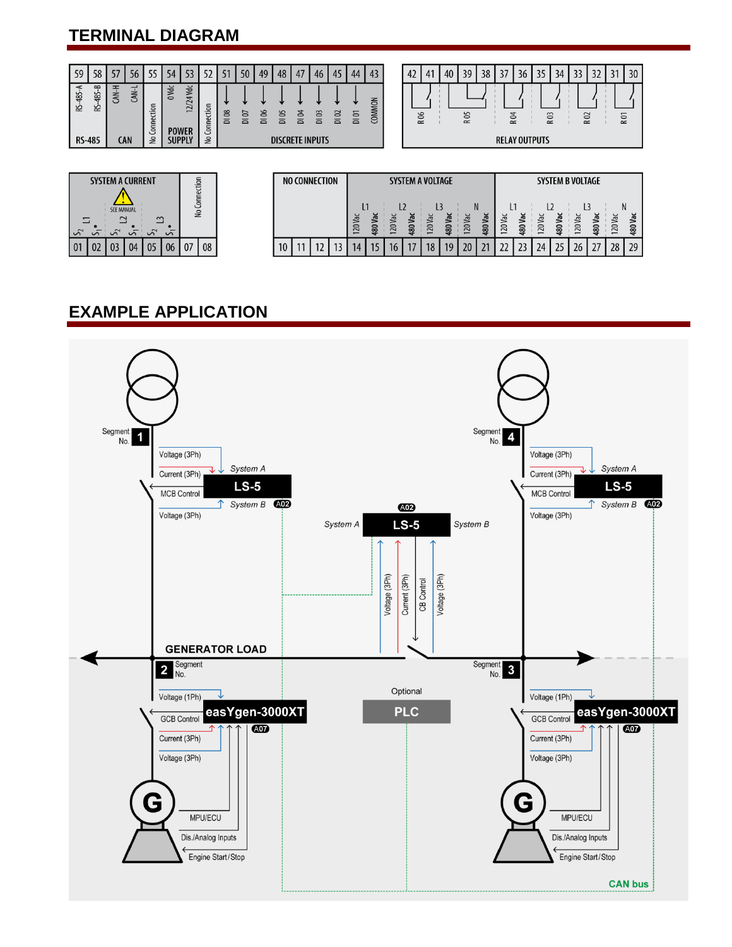## **TERMINAL DIAGRAM**





|  | No Connection      |    |    |               |    |    |    |
|--|--------------------|----|----|---------------|----|----|----|
|  | $\mathcal{S}$<br>∽ |    |    |               | ∽  |    |    |
|  |                    |    |    | $\mathcal{L}$ |    |    |    |
|  | 02                 | 03 | 04 | 05            | 06 | 07 | 08 |

|    | <b>NO CONNECTION</b> |  |  | <b>SYSTEM A VOLTAGE</b> |                                                                                                                    |    |  |    | <b>SYSTEM B VOLTAGE</b> |            |            |           |            |            |                         |         |  |    |    |
|----|----------------------|--|--|-------------------------|--------------------------------------------------------------------------------------------------------------------|----|--|----|-------------------------|------------|------------|-----------|------------|------------|-------------------------|---------|--|----|----|
|    |                      |  |  |                         | Vac<br>Vac<br>Vac<br>120 Vac<br>Vac<br>Jel<br>S-<br>s<br>480<br>480<br>120<br>120<br>$\overline{20}$<br>480<br>480 |    |  |    | 120 Vac                 | Vac<br>480 | Vac<br>120 | 5<br>\$80 | Vac<br>120 | Vac<br>480 | Vac<br>120 <sub>1</sub> | 480 Vac |  |    |    |
| ιv |                      |  |  |                         | ID                                                                                                                 | IO |  | ۱O |                         |            |            |           | 23         |            |                         |         |  | zc | 29 |

## **EXAMPLE APPLICATION**